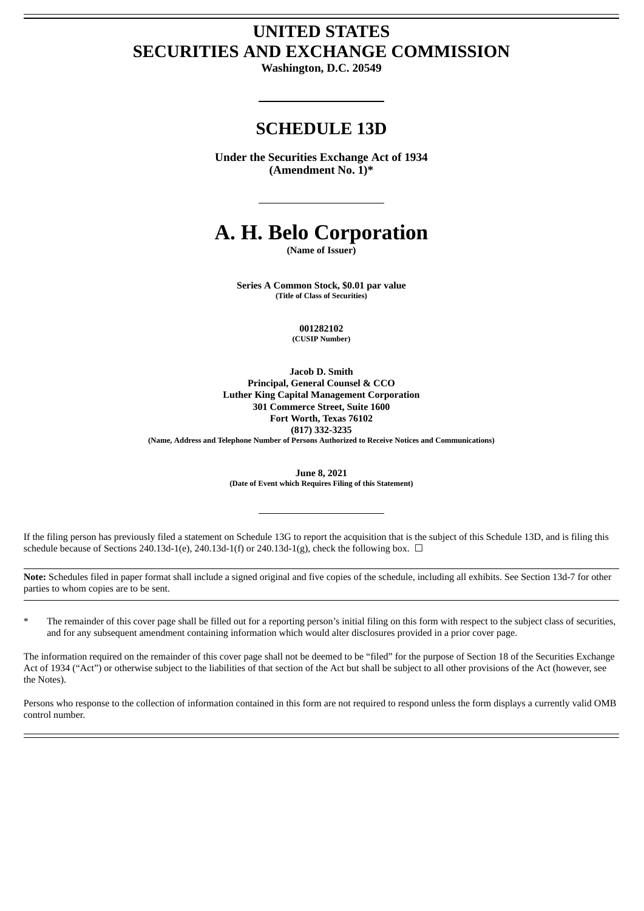# **UNITED STATES SECURITIES AND EXCHANGE COMMISSION**

**Washington, D.C. 20549**

# **SCHEDULE 13D**

**Under the Securities Exchange Act of 1934 (Amendment No. 1)\***

# **A. H. Belo Corporation**

**(Name of Issuer)**

**Series A Common Stock, \$0.01 par value (Title of Class of Securities)**

> **001282102 (CUSIP Number)**

**Jacob D. Smith Principal, General Counsel & CCO Luther King Capital Management Corporation 301 Commerce Street, Suite 1600 Fort Worth, Texas 76102 (817) 332-3235**

**(Name, Address and Telephone Number of Persons Authorized to Receive Notices and Communications)**

**June 8, 2021 (Date of Event which Requires Filing of this Statement)**

If the filing person has previously filed a statement on Schedule 13G to report the acquisition that is the subject of this Schedule 13D, and is filing this schedule because of Sections 240.13d-1(e), 240.13d-1(f) or 240.13d-1(g), check the following box.  $\Box$ 

**Note:** Schedules filed in paper format shall include a signed original and five copies of the schedule, including all exhibits. See Section 13d-7 for other parties to whom copies are to be sent.

\* The remainder of this cover page shall be filled out for a reporting person's initial filing on this form with respect to the subject class of securities, and for any subsequent amendment containing information which would alter disclosures provided in a prior cover page.

The information required on the remainder of this cover page shall not be deemed to be "filed" for the purpose of Section 18 of the Securities Exchange Act of 1934 ("Act") or otherwise subject to the liabilities of that section of the Act but shall be subject to all other provisions of the Act (however, see the Notes).

Persons who response to the collection of information contained in this form are not required to respond unless the form displays a currently valid OMB control number.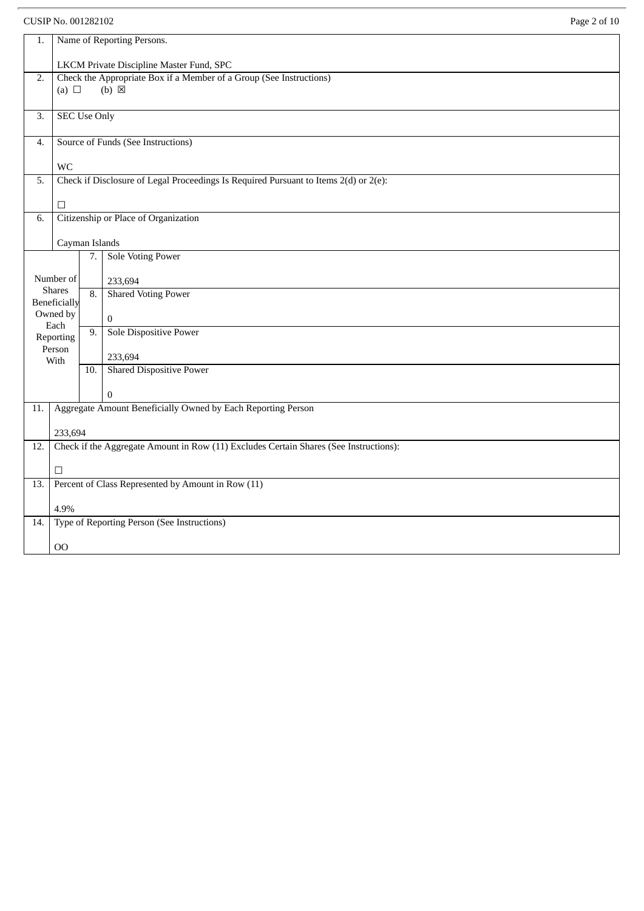CUSIP No. 001282102 Page 2 of 10

| Page 2 of 10 |  |  |
|--------------|--|--|
|              |  |  |

| 1.                           | Name of Reporting Persons.                                                            |     |                                                                                      |  |  |  |
|------------------------------|---------------------------------------------------------------------------------------|-----|--------------------------------------------------------------------------------------|--|--|--|
|                              | LKCM Private Discipline Master Fund, SPC                                              |     |                                                                                      |  |  |  |
| 2.                           |                                                                                       |     | Check the Appropriate Box if a Member of a Group (See Instructions)                  |  |  |  |
|                              | (a) $\Box$                                                                            |     | $(b) \boxtimes$                                                                      |  |  |  |
| 3.                           | <b>SEC Use Only</b>                                                                   |     |                                                                                      |  |  |  |
|                              |                                                                                       |     |                                                                                      |  |  |  |
| 4.                           |                                                                                       |     | Source of Funds (See Instructions)                                                   |  |  |  |
|                              |                                                                                       |     |                                                                                      |  |  |  |
| 5.                           | <b>WC</b>                                                                             |     | Check if Disclosure of Legal Proceedings Is Required Pursuant to Items 2(d) or 2(e): |  |  |  |
|                              |                                                                                       |     |                                                                                      |  |  |  |
|                              | $\Box$                                                                                |     |                                                                                      |  |  |  |
| 6.                           |                                                                                       |     | Citizenship or Place of Organization                                                 |  |  |  |
|                              |                                                                                       |     |                                                                                      |  |  |  |
|                              | Cayman Islands                                                                        |     |                                                                                      |  |  |  |
|                              |                                                                                       | 7.1 | <b>Sole Voting Power</b>                                                             |  |  |  |
|                              | Number of                                                                             |     | 233,694                                                                              |  |  |  |
|                              | <b>Shares</b>                                                                         | 8.  | <b>Shared Voting Power</b>                                                           |  |  |  |
| Beneficially                 |                                                                                       |     |                                                                                      |  |  |  |
| Owned by<br>$\bf{0}$<br>Each |                                                                                       |     |                                                                                      |  |  |  |
|                              | Reporting                                                                             | 9.  | Sole Dispositive Power                                                               |  |  |  |
|                              | Person<br>With                                                                        |     | 233,694                                                                              |  |  |  |
|                              |                                                                                       | 10. | <b>Shared Dispositive Power</b>                                                      |  |  |  |
|                              |                                                                                       |     |                                                                                      |  |  |  |
|                              |                                                                                       |     | $\Omega$                                                                             |  |  |  |
| 11.                          | Aggregate Amount Beneficially Owned by Each Reporting Person                          |     |                                                                                      |  |  |  |
|                              | 233,694                                                                               |     |                                                                                      |  |  |  |
| 12.                          | Check if the Aggregate Amount in Row (11) Excludes Certain Shares (See Instructions): |     |                                                                                      |  |  |  |
|                              |                                                                                       |     |                                                                                      |  |  |  |
|                              | $\Box$                                                                                |     |                                                                                      |  |  |  |
| 13.                          | Percent of Class Represented by Amount in Row (11)                                    |     |                                                                                      |  |  |  |
|                              | 4.9%                                                                                  |     |                                                                                      |  |  |  |
| 14.                          |                                                                                       |     | Type of Reporting Person (See Instructions)                                          |  |  |  |
|                              |                                                                                       |     |                                                                                      |  |  |  |
|                              | 00                                                                                    |     |                                                                                      |  |  |  |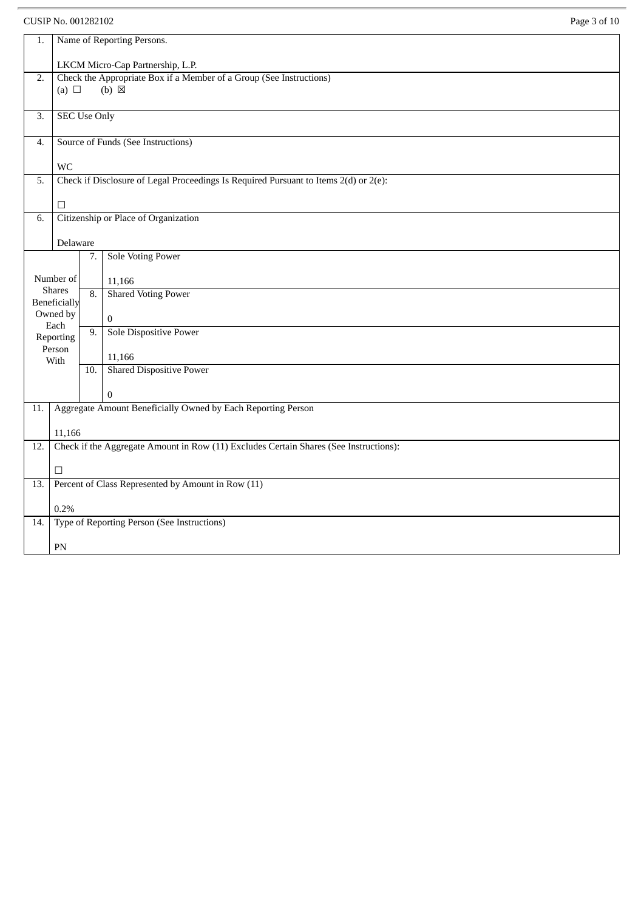|     | Page 3 of 10<br>CUSIP No. 001282102                          |     |                                                                                       |  |  |
|-----|--------------------------------------------------------------|-----|---------------------------------------------------------------------------------------|--|--|
| 1.  | Name of Reporting Persons.                                   |     |                                                                                       |  |  |
|     | LKCM Micro-Cap Partnership, L.P.                             |     |                                                                                       |  |  |
| 2.  |                                                              |     | Check the Appropriate Box if a Member of a Group (See Instructions)                   |  |  |
|     | (a) $\Box$                                                   |     | $(b) \boxtimes$                                                                       |  |  |
| 3.  | <b>SEC Use Only</b>                                          |     |                                                                                       |  |  |
|     |                                                              |     |                                                                                       |  |  |
| 4.  |                                                              |     | Source of Funds (See Instructions)                                                    |  |  |
|     | <b>WC</b>                                                    |     |                                                                                       |  |  |
| 5.  |                                                              |     | Check if Disclosure of Legal Proceedings Is Required Pursuant to Items 2(d) or 2(e):  |  |  |
|     | □                                                            |     |                                                                                       |  |  |
| 6.  |                                                              |     | Citizenship or Place of Organization                                                  |  |  |
|     | Delaware                                                     |     |                                                                                       |  |  |
|     |                                                              | 7.  | <b>Sole Voting Power</b>                                                              |  |  |
|     | Number of                                                    |     | 11,166                                                                                |  |  |
|     | <b>Shares</b><br>Beneficially                                | 8.  | <b>Shared Voting Power</b>                                                            |  |  |
|     | Owned by                                                     |     | $\boldsymbol{0}$                                                                      |  |  |
|     | Each<br>Reporting                                            | 9.  | <b>Sole Dispositive Power</b>                                                         |  |  |
|     | Person                                                       |     | 11,166                                                                                |  |  |
|     | With                                                         | 10. | <b>Shared Dispositive Power</b>                                                       |  |  |
|     |                                                              |     | $\bf{0}$                                                                              |  |  |
| 11. |                                                              |     | Aggregate Amount Beneficially Owned by Each Reporting Person                          |  |  |
|     |                                                              |     |                                                                                       |  |  |
| 12. | 11,166                                                       |     | Check if the Aggregate Amount in Row (11) Excludes Certain Shares (See Instructions): |  |  |
|     |                                                              |     |                                                                                       |  |  |
| 13. | $\Box$<br>Percent of Class Represented by Amount in Row (11) |     |                                                                                       |  |  |
|     |                                                              |     |                                                                                       |  |  |
|     | 0.2%                                                         |     | Type of Reporting Person (See Instructions)                                           |  |  |
| 14. |                                                              |     |                                                                                       |  |  |
|     | PN                                                           |     |                                                                                       |  |  |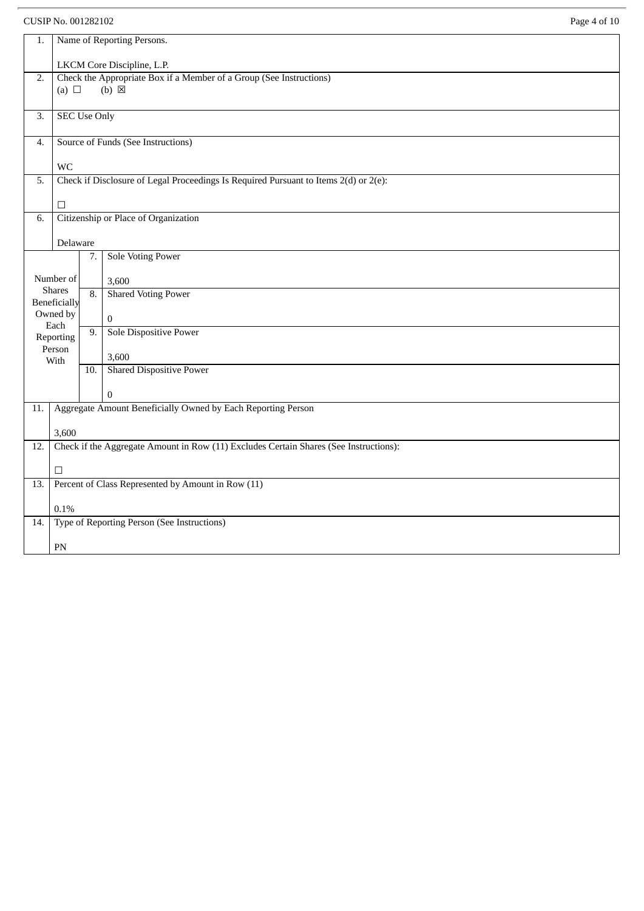|                                                                                              | Page 4 of 10<br>CUSIP No. 001282102                                 |     |                                                                                      |  |  |  |
|----------------------------------------------------------------------------------------------|---------------------------------------------------------------------|-----|--------------------------------------------------------------------------------------|--|--|--|
| 1.                                                                                           | Name of Reporting Persons.                                          |     |                                                                                      |  |  |  |
|                                                                                              | LKCM Core Discipline, L.P.                                          |     |                                                                                      |  |  |  |
| 2.                                                                                           | Check the Appropriate Box if a Member of a Group (See Instructions) |     |                                                                                      |  |  |  |
|                                                                                              | (a) $\Box$                                                          |     | $(b) \boxtimes$                                                                      |  |  |  |
| 3.                                                                                           | <b>SEC Use Only</b>                                                 |     |                                                                                      |  |  |  |
| 4.                                                                                           |                                                                     |     | Source of Funds (See Instructions)                                                   |  |  |  |
|                                                                                              |                                                                     |     |                                                                                      |  |  |  |
| 5.                                                                                           | <b>WC</b>                                                           |     | Check if Disclosure of Legal Proceedings Is Required Pursuant to Items 2(d) or 2(e): |  |  |  |
|                                                                                              |                                                                     |     |                                                                                      |  |  |  |
| 6.                                                                                           | □                                                                   |     | Citizenship or Place of Organization                                                 |  |  |  |
|                                                                                              |                                                                     |     |                                                                                      |  |  |  |
|                                                                                              | Delaware                                                            |     | Sole Voting Power                                                                    |  |  |  |
|                                                                                              |                                                                     | 7.  |                                                                                      |  |  |  |
|                                                                                              | Number of<br><b>Shares</b>                                          |     | 3,600                                                                                |  |  |  |
|                                                                                              | Beneficially                                                        | 8.  | <b>Shared Voting Power</b>                                                           |  |  |  |
|                                                                                              | Owned by<br>Each                                                    |     | $\mathbf 0$                                                                          |  |  |  |
|                                                                                              | Reporting                                                           | 9.  | Sole Dispositive Power                                                               |  |  |  |
|                                                                                              | Person<br>With                                                      |     | 3,600                                                                                |  |  |  |
|                                                                                              |                                                                     | 10. | <b>Shared Dispositive Power</b>                                                      |  |  |  |
|                                                                                              |                                                                     |     | $\Omega$                                                                             |  |  |  |
| 11.                                                                                          |                                                                     |     | Aggregate Amount Beneficially Owned by Each Reporting Person                         |  |  |  |
|                                                                                              | 3,600                                                               |     |                                                                                      |  |  |  |
| Check if the Aggregate Amount in Row (11) Excludes Certain Shares (See Instructions):<br>12. |                                                                     |     |                                                                                      |  |  |  |
|                                                                                              | $\Box$                                                              |     |                                                                                      |  |  |  |
| Percent of Class Represented by Amount in Row (11)<br>13.                                    |                                                                     |     |                                                                                      |  |  |  |
|                                                                                              | 0.1%                                                                |     |                                                                                      |  |  |  |
| 14.                                                                                          |                                                                     |     | Type of Reporting Person (See Instructions)                                          |  |  |  |
|                                                                                              | PN                                                                  |     |                                                                                      |  |  |  |
|                                                                                              |                                                                     |     |                                                                                      |  |  |  |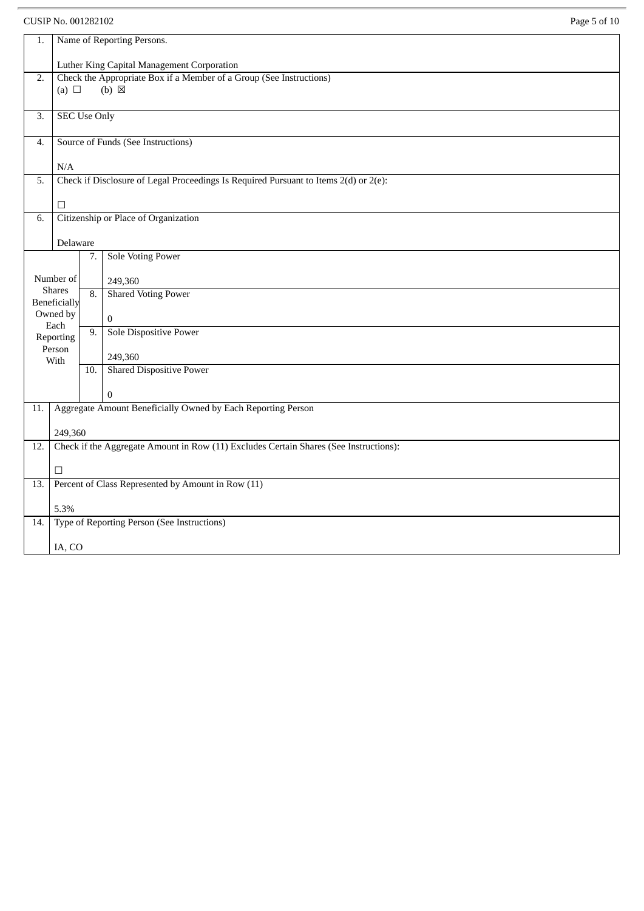CUSIP No. 001282102 Page 5 of 10

| age 5 | ΩŤ | I |
|-------|----|---|
|       |    |   |

| 1.                                                                | Name of Reporting Persons.                                                            |     |                                                                                        |  |  |  |
|-------------------------------------------------------------------|---------------------------------------------------------------------------------------|-----|----------------------------------------------------------------------------------------|--|--|--|
|                                                                   | Luther King Capital Management Corporation                                            |     |                                                                                        |  |  |  |
| 2.                                                                | (a) $\Box$                                                                            |     | Check the Appropriate Box if a Member of a Group (See Instructions)<br>$(b) \boxtimes$ |  |  |  |
| 3.                                                                | <b>SEC Use Only</b>                                                                   |     |                                                                                        |  |  |  |
| 4.                                                                |                                                                                       |     | Source of Funds (See Instructions)                                                     |  |  |  |
|                                                                   | N/A                                                                                   |     |                                                                                        |  |  |  |
| 5.                                                                |                                                                                       |     | Check if Disclosure of Legal Proceedings Is Required Pursuant to Items 2(d) or 2(e):   |  |  |  |
|                                                                   | $\Box$                                                                                |     |                                                                                        |  |  |  |
| 6.                                                                |                                                                                       |     | Citizenship or Place of Organization                                                   |  |  |  |
|                                                                   | Delaware                                                                              |     |                                                                                        |  |  |  |
|                                                                   |                                                                                       | 7.  | <b>Sole Voting Power</b>                                                               |  |  |  |
|                                                                   | Number of                                                                             |     | 249,360                                                                                |  |  |  |
| <b>Shares</b><br><b>Shared Voting Power</b><br>8.<br>Beneficially |                                                                                       |     |                                                                                        |  |  |  |
|                                                                   | Owned by<br>Each                                                                      |     | 0                                                                                      |  |  |  |
|                                                                   | Reporting                                                                             | 9.  | Sole Dispositive Power                                                                 |  |  |  |
|                                                                   | Person<br>With                                                                        |     | 249,360                                                                                |  |  |  |
|                                                                   |                                                                                       | 10. | <b>Shared Dispositive Power</b>                                                        |  |  |  |
|                                                                   |                                                                                       |     | $\Omega$                                                                               |  |  |  |
| 11.                                                               |                                                                                       |     | Aggregate Amount Beneficially Owned by Each Reporting Person                           |  |  |  |
|                                                                   | 249,360                                                                               |     |                                                                                        |  |  |  |
| 12.                                                               | Check if the Aggregate Amount in Row (11) Excludes Certain Shares (See Instructions): |     |                                                                                        |  |  |  |
|                                                                   | $\Box$                                                                                |     |                                                                                        |  |  |  |
| 13.                                                               |                                                                                       |     | Percent of Class Represented by Amount in Row (11)                                     |  |  |  |
|                                                                   | 5.3%                                                                                  |     |                                                                                        |  |  |  |
| 14.                                                               |                                                                                       |     | Type of Reporting Person (See Instructions)                                            |  |  |  |
|                                                                   | IA, CO                                                                                |     |                                                                                        |  |  |  |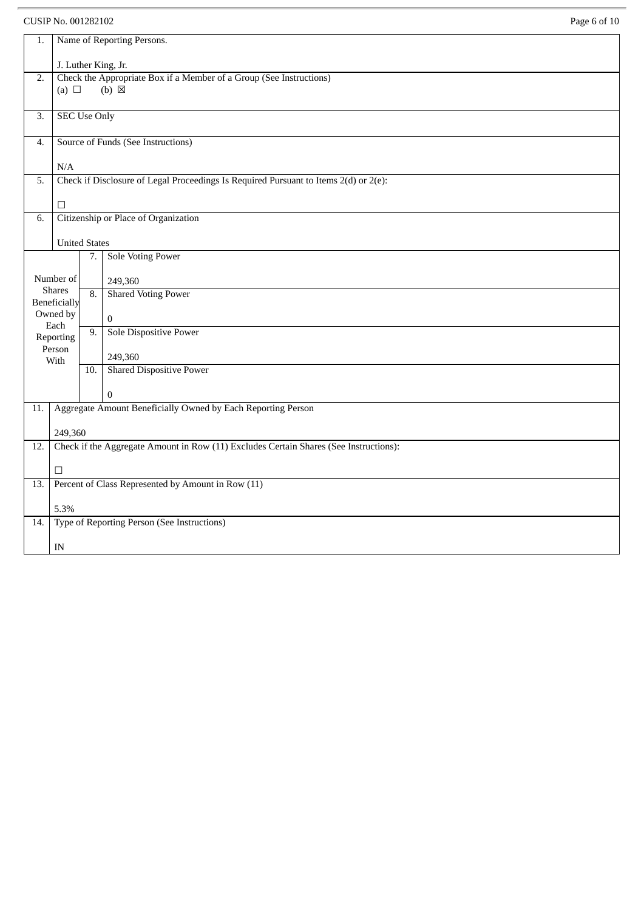### CUSIP No. 001282102 Page 6 of 10

| 1.  | Name of Reporting Persons.                                                            |                     |                                                                                      |  |  |  |  |
|-----|---------------------------------------------------------------------------------------|---------------------|--------------------------------------------------------------------------------------|--|--|--|--|
|     |                                                                                       | J. Luther King, Jr. |                                                                                      |  |  |  |  |
| 2.  |                                                                                       |                     | Check the Appropriate Box if a Member of a Group (See Instructions)                  |  |  |  |  |
|     | (a) $\Box$                                                                            |                     | $(b)$ $\boxtimes$                                                                    |  |  |  |  |
| 3.  | <b>SEC Use Only</b>                                                                   |                     |                                                                                      |  |  |  |  |
| 4.  |                                                                                       |                     | Source of Funds (See Instructions)                                                   |  |  |  |  |
|     | N/A                                                                                   |                     |                                                                                      |  |  |  |  |
| 5.  |                                                                                       |                     | Check if Disclosure of Legal Proceedings Is Required Pursuant to Items 2(d) or 2(e): |  |  |  |  |
|     | $\Box$                                                                                |                     |                                                                                      |  |  |  |  |
| 6.  |                                                                                       |                     | Citizenship or Place of Organization                                                 |  |  |  |  |
|     | <b>United States</b>                                                                  |                     |                                                                                      |  |  |  |  |
|     |                                                                                       | 7.                  | <b>Sole Voting Power</b>                                                             |  |  |  |  |
|     | Number of                                                                             |                     | 249,360                                                                              |  |  |  |  |
|     | <b>Shares</b><br>Beneficially                                                         | 8.                  | <b>Shared Voting Power</b>                                                           |  |  |  |  |
|     | Owned by<br>Each                                                                      |                     | $\boldsymbol{0}$                                                                     |  |  |  |  |
|     | Reporting                                                                             | 9.                  | Sole Dispositive Power                                                               |  |  |  |  |
|     | Person<br>With                                                                        |                     | 249,360                                                                              |  |  |  |  |
|     |                                                                                       | 10.                 | <b>Shared Dispositive Power</b>                                                      |  |  |  |  |
|     |                                                                                       |                     | 0                                                                                    |  |  |  |  |
| 11. |                                                                                       |                     | Aggregate Amount Beneficially Owned by Each Reporting Person                         |  |  |  |  |
|     | 249,360                                                                               |                     |                                                                                      |  |  |  |  |
| 12. | Check if the Aggregate Amount in Row (11) Excludes Certain Shares (See Instructions): |                     |                                                                                      |  |  |  |  |
|     | $\Box$                                                                                |                     |                                                                                      |  |  |  |  |
| 13. | Percent of Class Represented by Amount in Row (11)                                    |                     |                                                                                      |  |  |  |  |
|     | 5.3%                                                                                  |                     |                                                                                      |  |  |  |  |
| 14. |                                                                                       |                     | Type of Reporting Person (See Instructions)                                          |  |  |  |  |
|     | $\ensuremath{\text{IN}}$                                                              |                     |                                                                                      |  |  |  |  |
|     |                                                                                       |                     |                                                                                      |  |  |  |  |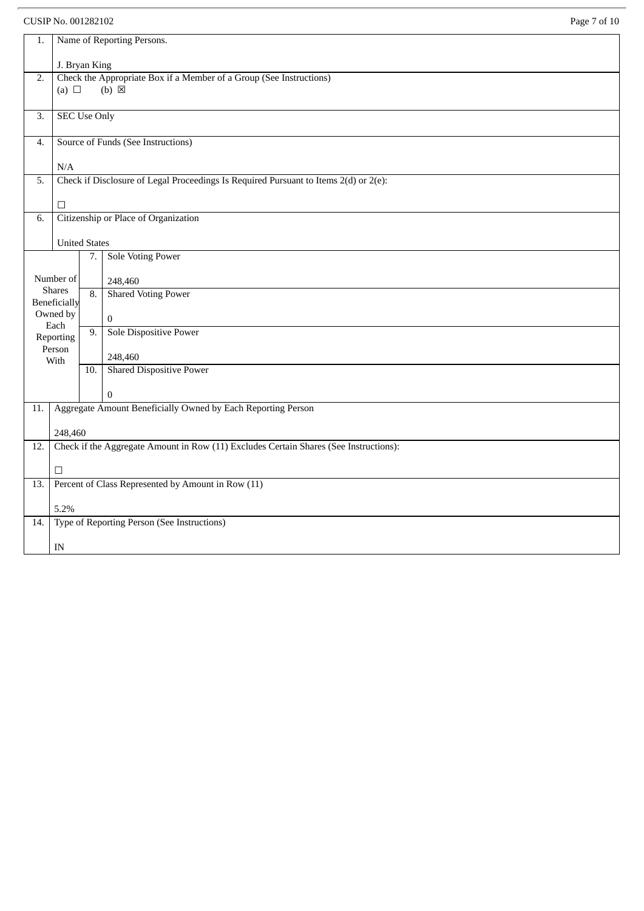## CUSIP No. 001282102 Page 7 of 10

| 1.               | Name of Reporting Persons.                                                            |                  |                                                                                      |  |  |
|------------------|---------------------------------------------------------------------------------------|------------------|--------------------------------------------------------------------------------------|--|--|
|                  | J. Bryan King                                                                         |                  |                                                                                      |  |  |
| 2.               |                                                                                       |                  | Check the Appropriate Box if a Member of a Group (See Instructions)                  |  |  |
|                  | (a) $\Box$                                                                            |                  | $(b) \boxtimes$                                                                      |  |  |
|                  |                                                                                       |                  |                                                                                      |  |  |
| $\overline{3}$ . | <b>SEC Use Only</b>                                                                   |                  |                                                                                      |  |  |
| 4.               |                                                                                       |                  | Source of Funds (See Instructions)                                                   |  |  |
|                  | $\rm N/A$                                                                             |                  |                                                                                      |  |  |
| 5.               |                                                                                       |                  | Check if Disclosure of Legal Proceedings Is Required Pursuant to Items 2(d) or 2(e): |  |  |
|                  |                                                                                       |                  |                                                                                      |  |  |
|                  | $\Box$                                                                                |                  |                                                                                      |  |  |
| 6.               |                                                                                       |                  | Citizenship or Place of Organization                                                 |  |  |
|                  | <b>United States</b>                                                                  |                  |                                                                                      |  |  |
|                  |                                                                                       | 7.               | <b>Sole Voting Power</b>                                                             |  |  |
|                  | Number of                                                                             |                  | 248,460                                                                              |  |  |
|                  | <b>Shares</b>                                                                         | $\overline{8}$ . | <b>Shared Voting Power</b>                                                           |  |  |
|                  | Beneficially                                                                          |                  |                                                                                      |  |  |
|                  | Owned by<br>Each                                                                      |                  | $\boldsymbol{0}$                                                                     |  |  |
|                  | Reporting                                                                             | $\overline{9}$ . | Sole Dispositive Power                                                               |  |  |
|                  | Person<br>With                                                                        |                  | 248,460                                                                              |  |  |
|                  |                                                                                       | 10.              | <b>Shared Dispositive Power</b>                                                      |  |  |
|                  |                                                                                       |                  | $\Omega$                                                                             |  |  |
| 11.              |                                                                                       |                  | Aggregate Amount Beneficially Owned by Each Reporting Person                         |  |  |
|                  |                                                                                       |                  |                                                                                      |  |  |
|                  | 248,460                                                                               |                  |                                                                                      |  |  |
| 12.              | Check if the Aggregate Amount in Row (11) Excludes Certain Shares (See Instructions): |                  |                                                                                      |  |  |
|                  | $\Box$                                                                                |                  |                                                                                      |  |  |
| 13.              | Percent of Class Represented by Amount in Row (11)                                    |                  |                                                                                      |  |  |
|                  | 5.2%                                                                                  |                  |                                                                                      |  |  |
| 14.              |                                                                                       |                  | Type of Reporting Person (See Instructions)                                          |  |  |
|                  |                                                                                       |                  |                                                                                      |  |  |
|                  | IN                                                                                    |                  |                                                                                      |  |  |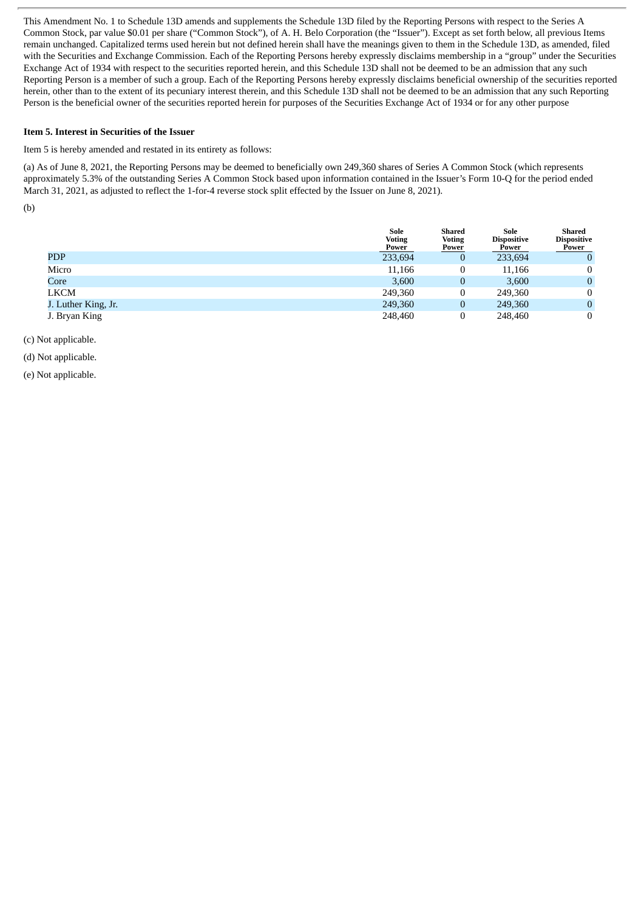This Amendment No. 1 to Schedule 13D amends and supplements the Schedule 13D filed by the Reporting Persons with respect to the Series A Common Stock, par value \$0.01 per share ("Common Stock"), of A. H. Belo Corporation (the "Issuer"). Except as set forth below, all previous Items remain unchanged. Capitalized terms used herein but not defined herein shall have the meanings given to them in the Schedule 13D, as amended, filed with the Securities and Exchange Commission. Each of the Reporting Persons hereby expressly disclaims membership in a "group" under the Securities Exchange Act of 1934 with respect to the securities reported herein, and this Schedule 13D shall not be deemed to be an admission that any such Reporting Person is a member of such a group. Each of the Reporting Persons hereby expressly disclaims beneficial ownership of the securities reported herein, other than to the extent of its pecuniary interest therein, and this Schedule 13D shall not be deemed to be an admission that any such Reporting Person is the beneficial owner of the securities reported herein for purposes of the Securities Exchange Act of 1934 or for any other purpose

#### **Item 5. Interest in Securities of the Issuer**

Item 5 is hereby amended and restated in its entirety as follows:

(a) As of June 8, 2021, the Reporting Persons may be deemed to beneficially own 249,360 shares of Series A Common Stock (which represents approximately 5.3% of the outstanding Series A Common Stock based upon information contained in the Issuer's Form 10-Q for the period ended March 31, 2021, as adjusted to reflect the 1-for-4 reverse stock split effected by the Issuer on June 8, 2021).

(b)

|                     | Sole<br><b>Voting</b><br><b>Power</b> | Shared<br><b>Voting</b><br><u>Power</u> | Sole<br><b>Dispositive</b><br><b>Power</b> | Shared<br><b>Dispositive</b><br><b>Power</b> |
|---------------------|---------------------------------------|-----------------------------------------|--------------------------------------------|----------------------------------------------|
| <b>PDP</b>          | 233,694                               | $\mathbf{0}$                            | 233,694                                    | $\mathbf{0}$                                 |
| Micro               | 11,166                                | 0                                       | 11,166                                     | $\mathbf{0}$                                 |
| Core                | 3,600                                 | 0                                       | 3,600                                      | $\mathbf{0}$                                 |
| <b>LKCM</b>         | 249,360                               | 0                                       | 249,360                                    | $\mathbf{0}$                                 |
| J. Luther King, Jr. | 249,360                               | 0                                       | 249,360                                    | $\mathbf{0}$                                 |
| J. Bryan King       | 248,460                               |                                         | 248,460                                    | 0                                            |

#### (c) Not applicable.

(d) Not applicable.

(e) Not applicable.